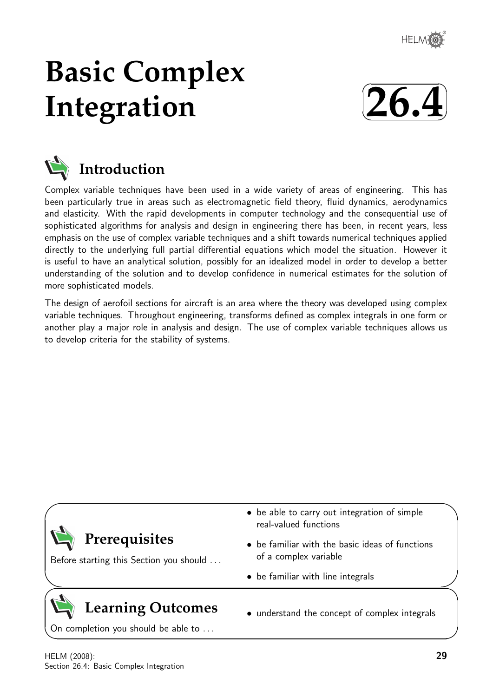

# **Basic Complex Integration**





# **Introduction**

Complex variable techniques have been used in a wide variety of areas of engineering. This has been particularly true in areas such as electromagnetic field theory, fluid dynamics, aerodynamics and elasticity. With the rapid developments in computer technology and the consequential use of sophisticated algorithms for analysis and design in engineering there has been, in recent years, less emphasis on the use of complex variable techniques and a shift towards numerical techniques applied directly to the underlying full partial differential equations which model the situation. However it is useful to have an analytical solution, possibly for an idealized model in order to develop a better understanding of the solution and to develop confidence in numerical estimates for the solution of more sophisticated models.

The design of aerofoil sections for aircraft is an area where the theory was developed using complex variable techniques. Throughout engineering, transforms defined as complex integrals in one form or another play a major role in analysis and design. The use of complex variable techniques allows us to develop criteria for the stability of systems.



On completion you should be able to ...

 $\overline{\phantom{0}}$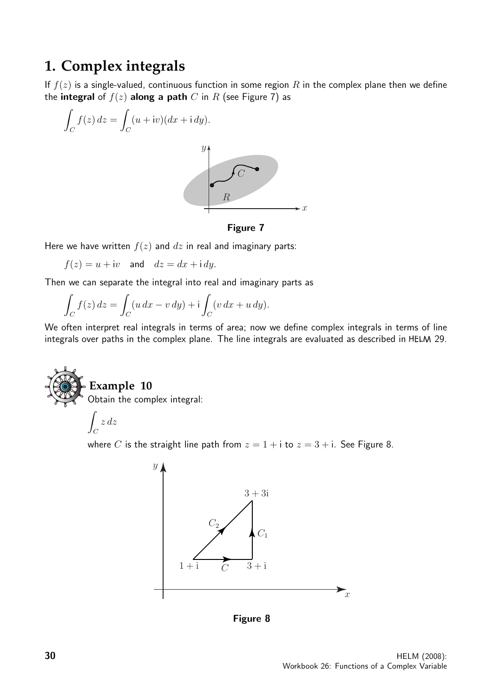# **1. Complex integrals**

If  $f(z)$  is a single-valued, continuous function in some region R in the complex plane then we define the integral of  $f(z)$  along a path C in R (see Figure 7) as



Figure 7

Here we have written  $f(z)$  and  $dz$  in real and imaginary parts:

 $f(z) = u + iv$  and  $dz = dx + idy$ .

Then we can separate the integral into real and imaginary parts as

$$
\int_C f(z) dz = \int_C (u dx - v dy) + i \int_C (v dx + u dy).
$$

We often interpret real integrals in terms of area; now we define complex integrals in terms of line integrals over paths in the complex plane. The line integrals are evaluated as described in HELM 29.



# **Example 10**

Obtain the complex integral:

$$
\int_C z\,dz
$$

where C is the straight line path from  $z = 1 + i$  to  $z = 3 + i$ . See Figure 8.



Figure 8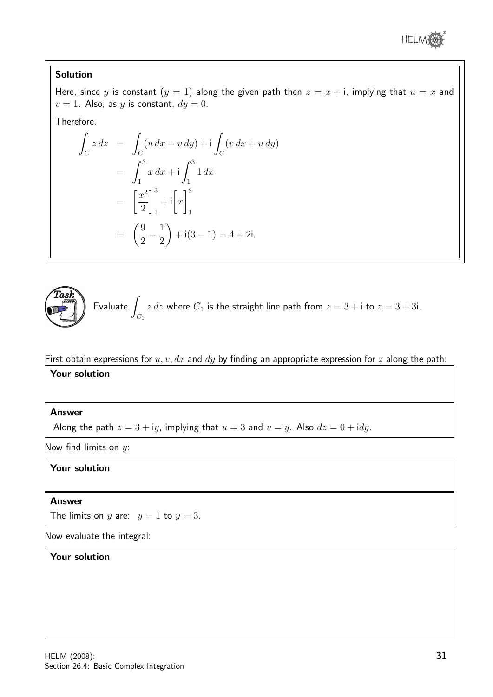

# Solution

Here, since y is constant  $(y = 1)$  along the given path then  $z = x + i$ , implying that  $u = x$  and  $v = 1$ . Also, as y is constant,  $dy = 0$ .

Therefore,

$$
\int_C z \, dz = \int_C (u \, dx - v \, dy) + i \int_C (v \, dx + u \, dy)
$$
  
=  $\int_1^3 x \, dx + i \int_1^3 1 \, dx$   
=  $\left[ \frac{x^2}{2} \right]_1^3 + i \left[ x \right]_1^3$   
=  $\left( \frac{9}{2} - \frac{1}{2} \right) + i(3 - 1) = 4 + 2i.$ 



First obtain expressions for  $u, v, dx$  and  $dy$  by finding an appropriate expression for z along the path:

# Your solution

#### Answer

Along the path  $z = 3 + iy$ , implying that  $u = 3$  and  $v = y$ . Also  $dz = 0 + idy$ .

Now find limits on  $y$ :

# Your solution

#### Answer

The limits on y are:  $y = 1$  to  $y = 3$ .

Now evaluate the integral:

#### Your solution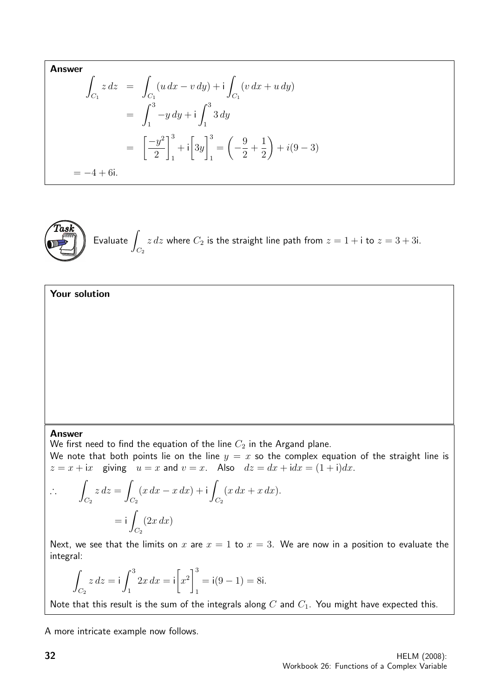Answer  
\n
$$
\int_{C_1} z \, dz = \int_{C_1} (u \, dx - v \, dy) + i \int_{C_1} (v \, dx + u \, dy)
$$
\n
$$
= \int_1^3 -y \, dy + i \int_1^3 3 \, dy
$$
\n
$$
= \left[ \frac{-y^2}{2} \right]_1^3 + i \left[ 3y \right]_1^3 = \left( -\frac{9}{2} + \frac{1}{2} \right) + i(9 - 3)
$$
\n
$$
= -4 + 6i.
$$



 $E$ valuate  $\overline{I}$  $C_{2}$  $z dz$  where  $C_2$  is the straight line path from  $z = 1 + i$  to  $z = 3 + 3i$ .

# Your solution

#### Answer

We first need to find the equation of the line  $C_2$  in the Argand plane.

We note that both points lie on the line  $y = x$  so the complex equation of the straight line is  $z = x + ix$  giving  $u = x$  and  $v = x$ . Also  $dz = dx + idx = (1 + i)dx$ .

$$
\therefore \qquad \int_{C_2} z \, dz = \int_{C_2} (x \, dx - x \, dx) + i \int_{C_2} (x \, dx + x \, dx).
$$

$$
= i \int_{C_2} (2x \, dx)
$$

Next, we see that the limits on x are  $x = 1$  to  $x = 3$ . We are now in a position to evaluate the integral:

$$
\int_{C_2} z \, dz = i \int_1^3 2x \, dx = i \left[ x^2 \right]_1^3 = i(9 - 1) = 8i.
$$

Note that this result is the sum of the integrals along  $C$  and  $C_1$ . You might have expected this.

A more intricate example now follows.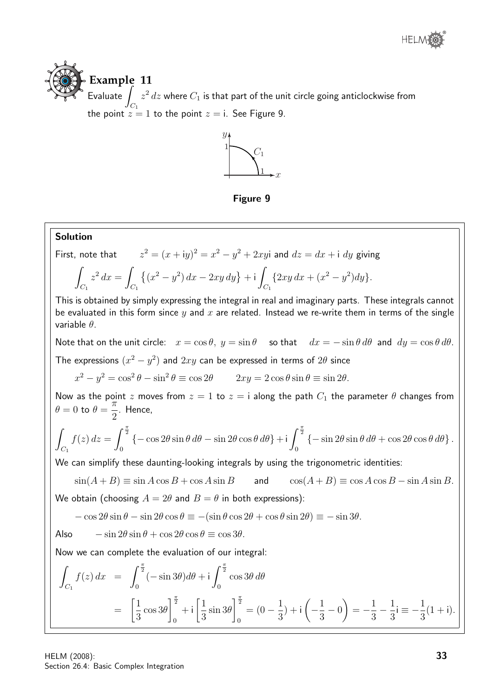

**Example 11**  $E$ valuate  $\int$  $C_1$  $z^2\, dz$  where  $C_1$  is that part of the unit circle going anticlockwise from the point  $z = 1$  to the point  $z = i$ . See Figure 9.



Figure 9

**Solution**  
\nFirst, note that 
$$
z^2 = (x + iy)^2 = x^2 - y^2 + 2xyi
$$
 and  $dz = dx + i dy$  giving  
\n
$$
\int_{C_1} z^2 dx = \int_{C_1} \{(x^2 - y^2) dx - 2xy dy\} + i \int_{C_1} \{2xy dx + (x^2 - y^2) dy\}.
$$
\nThis is obtained by simply expressing the integral in real and imaginary parts. These integrals cannot be evaluated in this form since y and x are related. Instead we re-write them in terms of the single variable  $\theta$ .  
\nNote that on the unit circle:  $x = \cos \theta$ ,  $y = \sin \theta$  so that  $dx = -\sin \theta d\theta$  and  $dy = \cos \theta d\theta$ .  
\nThe expressions  $(x^2 - y^2)$  and  $2xy$  can be expressed in terms of 2 $\theta$  since  $x^2 - y^2 = \cos^2 \theta - \sin^2 \theta \equiv \cos 2\theta$   $2xy = 2 \cos \theta \sin \theta \equiv \sin 2\theta$ .  
\nNow as the point z moves from  $z = 1$  to  $z = i$  along the path  $C_1$  the parameter  $\theta$  changes from  $\theta = 0$  to  $\theta = \frac{\pi}{2}$ . Hence,  
\n
$$
\int_{C_1} f(z) dz = \int_0^{\frac{\pi}{2}} \{-\cos 2\theta \sin \theta d\theta - \sin 2\theta \cos \theta d\theta\} + i \int_0^{\frac{\pi}{2}} \{-\sin 2\theta \sin \theta d\theta + \cos 2\theta \cos \theta d\theta\}.
$$
\nWe can simplify these daunting-looking integrals by using the trigonometric identities:  
\n $\sin(A + B) \equiv \sin A \cos B + \cos A \sin B$  and  $\cos(A + B) \equiv \cos A \cos B - \sin A \sin B$ .  
\nWe obtain (choosing  $A = 2\theta$  and  $B = \theta$  in both expressions):  
\n $-\cos 2\theta \sin \theta - \sin 2\theta \cos \theta \equiv -(\sin \theta \cos 2\theta + \cos \theta \sin 2\theta) \equiv -\sin 3\theta$ .  
\nAlso  $-\sin 2\theta \sin \theta + \cos 2\theta \cos \theta \equiv \cos 3\theta$ .  
\nNow we can complete the evaluation of

HELM (2008): Section 26.4: Basic Complex Integration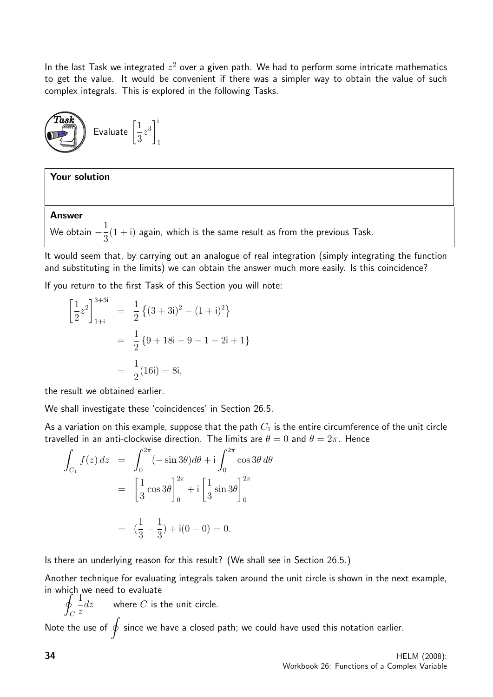In the last Task we integrated  $z^2$  over a given path. We had to perform some intricate mathematics to get the value. It would be convenient if there was a simpler way to obtain the value of such complex integrals. This is explored in the following Tasks.



#### Your solution

#### Answer

We obtain  $-\frac{1}{2}$ 3  $(1 + i)$  again, which is the same result as from the previous Task.

It would seem that, by carrying out an analogue of real integration (simply integrating the function and substituting in the limits) we can obtain the answer much more easily. Is this coincidence?

If you return to the first Task of this Section you will note:

$$
\left[\frac{1}{2}z^2\right]_{1+i}^{3+3i} = \frac{1}{2}\left\{(3+3i)^2 - (1+i)^2\right\}
$$

$$
= \frac{1}{2}\left\{9+18i-9-1-2i+1\right\}
$$

$$
= \frac{1}{2}(16i) = 8i,
$$

the result we obtained earlier.

We shall investigate these 'coincidences' in Section 26.5.

As a variation on this example, suppose that the path  $C_1$  is the entire circumference of the unit circle travelled in an anti-clockwise direction. The limits are  $\theta = 0$  and  $\theta = 2\pi$ . Hence

$$
\int_{C_1} f(z) dz = \int_0^{2\pi} (-\sin 3\theta) d\theta + i \int_0^{2\pi} \cos 3\theta d\theta
$$

$$
= \left[\frac{1}{3}\cos 3\theta\right]_0^{2\pi} + i \left[\frac{1}{3}\sin 3\theta\right]_0^{2\pi}
$$

$$
= \left(\frac{1}{3} - \frac{1}{3}\right) + i(0 - 0) = 0.
$$

Is there an underlying reason for this result? (We shall see in Section 26.5.)

Another technique for evaluating integrals taken around the unit circle is shown in the next example, in which we need to evaluate

l<br>I  $\mathcal{C}_{0}^{0}$ 1 z  $dz$  where  $C$  is the unit circle.

Note the use of  $\oint$  since we have a closed path; we could have used this notation earlier.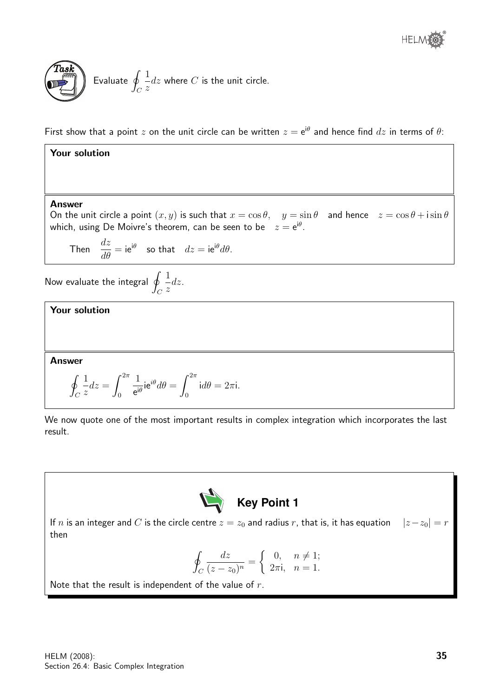



First show that a point  $z$  on the unit circle can be written  $z = e^{i\theta}$  and hence find  $dz$  in terms of  $\theta$ :

## Your solution

#### Answer

On the unit circle a point  $(x, y)$  is such that  $x = \cos \theta$ ,  $y = \sin \theta$  and hence  $z = \cos \theta + i \sin \theta$ which, using De Moivre's theorem, can be seen to be  $\quad z = \mathrm{e}^{\mathrm{i} \theta}.$ 

Then  $\frac{dz}{d\theta} = i e^{i\theta}$  so that  $dz = i e^{i\theta} d\theta$ .

Now evaluate the integral  $q$  $\mathcal C$ 1 z dz.

Your solution

Answer

$$
\oint_C \frac{1}{z} dz = \int_0^{2\pi} \frac{1}{e^{i\theta}} i e^{i\theta} d\theta = \int_0^{2\pi} i d\theta = 2\pi i.
$$

We now quote one of the most important results in complex integration which incorporates the last result.



If n is an integer and C is the circle centre  $z = z_0$  and radius r, that is, it has equation  $|z-z_0| = r$ then

$$
\oint_C \frac{dz}{(z-z_0)^n} = \begin{cases} 0, & n \neq 1; \\ 2\pi i, & n = 1. \end{cases}
$$

Note that the result is independent of the value of  $r$ .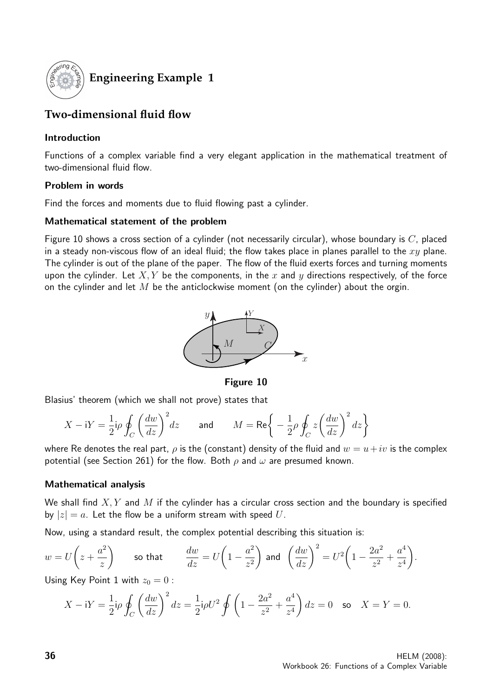

# **Engineering Example 1**

# **Two-dimensional fluid flow**

## Introduction

Functions of a complex variable find a very elegant application in the mathematical treatment of two-dimensional fluid flow.

## Problem in words

Find the forces and moments due to fluid flowing past a cylinder.

# Mathematical statement of the problem

Figure 10 shows a cross section of a cylinder (not necessarily circular), whose boundary is  $C$ , placed in a steady non-viscous flow of an ideal fluid; the flow takes place in planes parallel to the  $xy$  plane. The cylinder is out of the plane of the paper. The flow of the fluid exerts forces and turning moments upon the cylinder. Let  $X, Y$  be the components, in the x and y directions respectively, of the force on the cylinder and let  $M$  be the anticlockwise moment (on the cylinder) about the orgin.



Figure 10

Blasius' theorem (which we shall not prove) states that

$$
X - iY = \frac{1}{2}i\rho \oint_C \left(\frac{dw}{dz}\right)^2 dz \quad \text{and} \quad M = \text{Re}\left\{-\frac{1}{2}\rho \oint_C z \left(\frac{dw}{dz}\right)^2 dz\right\}
$$

where Re denotes the real part,  $\rho$  is the (constant) density of the fluid and  $w = u + iv$  is the complex potential (see Section 261) for the flow. Both  $\rho$  and  $\omega$  are presumed known.

# Mathematical analysis

We shall find  $X, Y$  and M if the cylinder has a circular cross section and the boundary is specified by  $|z| = a$ . Let the flow be a uniform stream with speed U.

Now, using a standard result, the complex potential describing this situation is:

$$
w = U\left(z + \frac{a^2}{z}\right)
$$
 so that  $\frac{dw}{dz} = U\left(1 - \frac{a^2}{z^2}\right)$  and  $\left(\frac{dw}{dz}\right)^2 = U^2\left(1 - \frac{2a^2}{z^2} + \frac{a^4}{z^4}\right)$ .

Using Key Point 1 with  $z_0 = 0$ :

$$
X - iY = \frac{1}{2}i\rho \oint_C \left(\frac{dw}{dz}\right)^2 dz = \frac{1}{2}i\rho U^2 \oint \left(1 - \frac{2a^2}{z^2} + \frac{a^4}{z^4}\right) dz = 0 \text{ so } X = Y = 0.
$$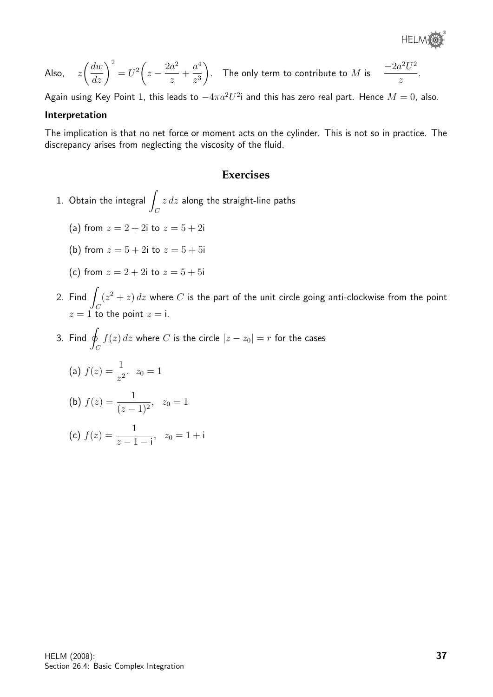®

Also, 
$$
z\left(\frac{dw}{dz}\right)^2 = U^2\left(z - \frac{2a^2}{z} + \frac{a^4}{z^3}\right)
$$
. The only term to contribute to *M* is  $\frac{-2a^2U^2}{z}$ .

Again using Key Point 1, this leads to  $-4\pi a^2 U^2$ i and this has zero real part. Hence  $M=0$ , also.

#### Interpretation

The implication is that no net force or moment acts on the cylinder. This is not so in practice. The discrepancy arises from neglecting the viscosity of the fluid.

#### **Exercises**

- 1. Obtain the integral  $\overline{\phantom{a}}$  $\mathcal{C}_{0}^{(n)}$  $z\,dz$  along the straight-line paths
	- (a) from  $z = 2 + 2i$  to  $z = 5 + 2i$
	- (b) from  $z = 5 + 2i$  to  $z = 5 + 5i$
	- (c) from  $z = 2 + 2i$  to  $z = 5 + 5i$
- 2. Find  $\int$  $\mathcal{C}_{0}^{(n)}$  $(z^2 + z) dz$  where C is the part of the unit circle going anti-clockwise from the point  $z = 1$  to the point  $z = i$ .
- 3. Find  $\oint$  $\mathcal{C}_{0}^{(n)}$  $f(z)\, dz$  where  $C$  is the circle  $|z-z_0|=r$  for the cases

(a) 
$$
f(z) = \frac{1}{z^2}
$$
.  $z_0 = 1$   
\n(b)  $f(z) = \frac{1}{(z-1)^2}$ ,  $z_0 = 1$   
\n(c)  $f(z) = \frac{1}{z-1-i}$ ,  $z_0 = 1+i$